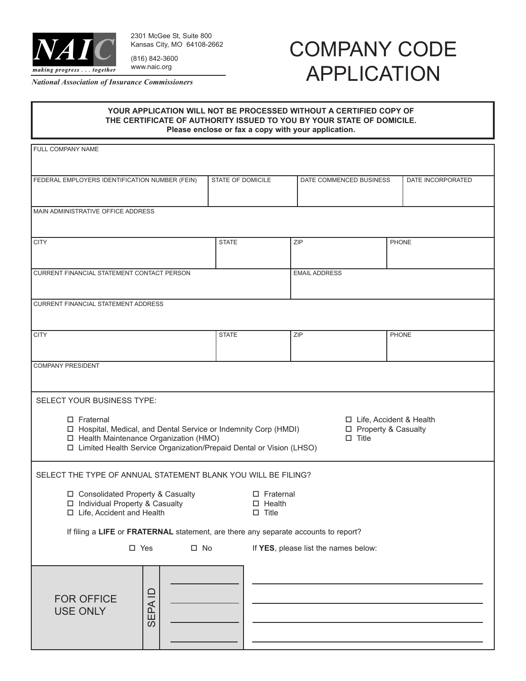

2301 McGee St, Suite 800 Kansas City, MO 64108-2662 (816) 842-3600 www.naic.org

*National Association of Insurance Commissioners*

## COMPANY CODE APPLICATION

## **YOUR APPLICATION WILL NOT BE PROCESSED WITHOUT A CERTIFIED COPY OF THE CERTIFICATE OF AUTHORITY ISSUED TO YOU BY YOUR STATE OF DOMICILE. Please enclose or fax a copy with your application.**

| FULL COMPANY NAME                                                                                                                                                                                                                                                                    |                   |                                                            |                   |  |
|--------------------------------------------------------------------------------------------------------------------------------------------------------------------------------------------------------------------------------------------------------------------------------------|-------------------|------------------------------------------------------------|-------------------|--|
| FEDERAL EMPLOYERS IDENTIFICATION NUMBER (FEIN)                                                                                                                                                                                                                                       | STATE OF DOMICILE | DATE COMMENCED BUSINESS                                    | DATE INCORPORATED |  |
| MAIN ADMINISTRATIVE OFFICE ADDRESS                                                                                                                                                                                                                                                   |                   |                                                            |                   |  |
| <b>CITY</b>                                                                                                                                                                                                                                                                          | <b>STATE</b>      | ZIP                                                        | <b>PHONE</b>      |  |
| CURRENT FINANCIAL STATEMENT CONTACT PERSON                                                                                                                                                                                                                                           |                   | <b>EMAIL ADDRESS</b>                                       |                   |  |
| <b>CURRENT FINANCIAL STATEMENT ADDRESS</b>                                                                                                                                                                                                                                           |                   |                                                            |                   |  |
| <b>CITY</b>                                                                                                                                                                                                                                                                          | <b>STATE</b>      | ZIP                                                        | <b>PHONE</b>      |  |
| <b>COMPANY PRESIDENT</b>                                                                                                                                                                                                                                                             |                   |                                                            |                   |  |
| SELECT YOUR BUSINESS TYPE:                                                                                                                                                                                                                                                           |                   |                                                            |                   |  |
| $\square$ Fraternal<br>□ Life, Accident & Health<br>□ Hospital, Medical, and Dental Service or Indemnity Corp (HMDI)<br>□ Property & Casualty<br>□ Health Maintenance Organization (HMO)<br>$\square$ Title<br>□ Limited Health Service Organization/Prepaid Dental or Vision (LHSO) |                   |                                                            |                   |  |
| SELECT THE TYPE OF ANNUAL STATEMENT BLANK YOU WILL BE FILING?                                                                                                                                                                                                                        |                   |                                                            |                   |  |
| □ Consolidated Property & Casualty<br>□ Individual Property & Casualty<br>□ Life, Accident and Health                                                                                                                                                                                |                   | $\square$ Fraternal<br>$\square$ Health<br>$\square$ Title |                   |  |
| If filing a LIFE or FRATERNAL statement, are there any separate accounts to report?                                                                                                                                                                                                  |                   |                                                            |                   |  |
| $\square$ Yes<br>$\square$ No                                                                                                                                                                                                                                                        |                   | If YES, please list the names below:                       |                   |  |
| SEPAID<br><b>FOR OFFICE</b><br><b>USE ONLY</b>                                                                                                                                                                                                                                       |                   |                                                            |                   |  |